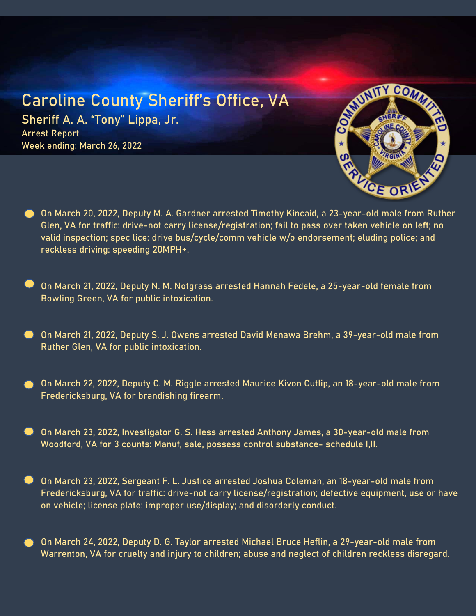## Caroline County Sheriff's Office, VA

Sheriff A. A. "Tony" Lippa, Jr. Arrest Report Week ending: March 26, 2022



- On March 20, 2022, Deputy M. A. Gardner arrested Timothy Kincaid, a 23-year-old male from Ruther Glen, VA for traffic: drive-not carry license/registration; fail to pass over taken vehicle on left; no valid inspection; spec lice: drive bus/cycle/comm vehicle w/o endorsement; eluding police; and reckless driving: speeding 20MPH+.
- On March 21, 2022, Deputy N. M. Notgrass arrested Hannah Fedele, a 25-year-old female from Bowling Green, VA for public intoxication.
- On March 21, 2022, Deputy S. J. Owens arrested David Menawa Brehm, a 39-year-old male from Ruther Glen, VA for public intoxication.
- On March 22, 2022, Deputy C. M. Riggle arrested Maurice Kivon Cutlip, an 18-year-old male from Fredericksburg, VA for brandishing firearm.
- On March 23, 2022, Investigator G. S. Hess arrested Anthony James, a 30-year-old male from Woodford, VA for 3 counts: Manuf, sale, possess control substance- schedule I,II.
- On March 23, 2022, Sergeant F. L. Justice arrested Joshua Coleman, an 18-year-old male from Fredericksburg, VA for traffic: drive-not carry license/registration; defective equipment, use or have on vehicle; license plate: improper use/display; and disorderly conduct.
- On March 24, 2022, Deputy D. G. Taylor arrested Michael Bruce Heflin, a 29-year-old male from Warrenton, VA for cruelty and injury to children; abuse and neglect of children reckless disregard.